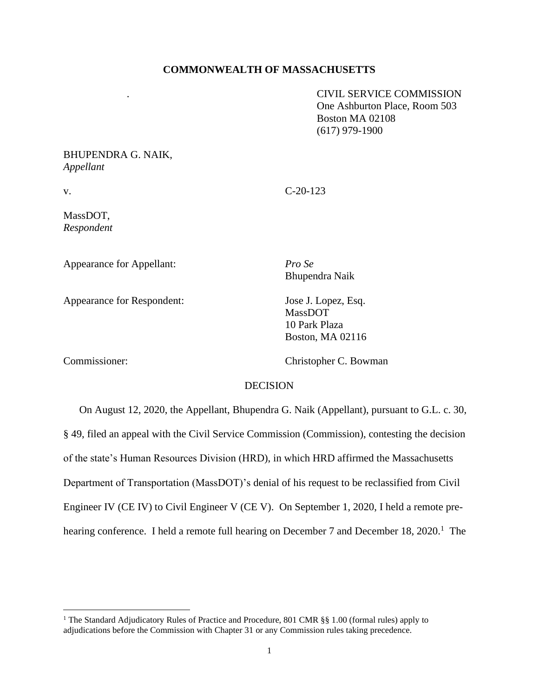## **COMMONWEALTH OF MASSACHUSETTS**

. CIVIL SERVICE COMMISSION One Ashburton Place, Room 503 Boston MA 02108 (617) 979-1900

# BHUPENDRA G. NAIK, *Appellant*

v. C-20-123

MassDOT, *Respondent*

Appearance for Appellant: *Pro Se* 

Appearance for Respondent: Jose J. Lopez, Esq.

Bhupendra Naik

MassDOT 10 Park Plaza Boston, MA 02116

Commissioner: Christopher C. Bowman

## **DECISION**

On August 12, 2020, the Appellant, Bhupendra G. Naik (Appellant), pursuant to G.L. c. 30, § 49, filed an appeal with the Civil Service Commission (Commission), contesting the decision of the state's Human Resources Division (HRD), in which HRD affirmed the Massachusetts Department of Transportation (MassDOT)'s denial of his request to be reclassified from Civil Engineer IV (CE IV) to Civil Engineer V (CE V). On September 1, 2020, I held a remote prehearing conference. I held a remote full hearing on December 7 and December 18, 2020.<sup>1</sup> The

<sup>&</sup>lt;sup>1</sup> The Standard Adjudicatory Rules of Practice and Procedure, 801 CMR §§ 1.00 (formal rules) apply to adjudications before the Commission with Chapter 31 or any Commission rules taking precedence.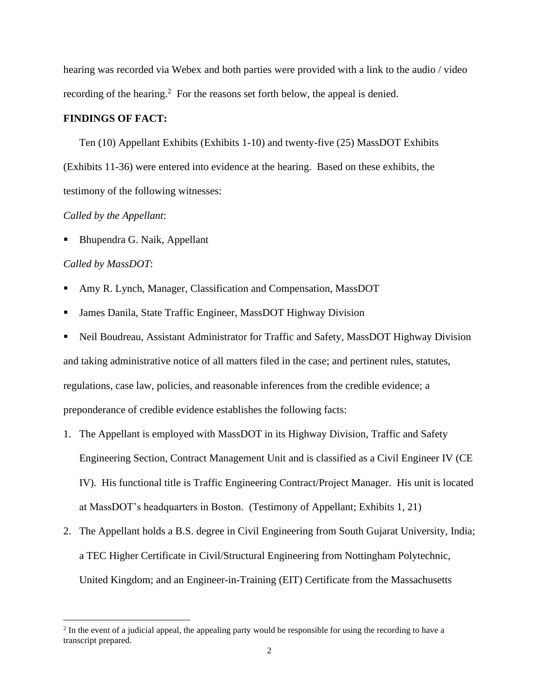hearing was recorded via Webex and both parties were provided with a link to the audio / video recording of the hearing.<sup>2</sup> For the reasons set forth below, the appeal is denied.

### **FINDINGS OF FACT:**

Ten (10) Appellant Exhibits (Exhibits 1-10) and twenty-five (25) MassDOT Exhibits (Exhibits 11-36) were entered into evidence at the hearing. Based on these exhibits, the testimony of the following witnesses:

## *Called by the Appellant*:

Bhupendra G. Naik, Appellant

#### *Called by MassDOT*:

- Amy R. Lynch, Manager, Classification and Compensation, MassDOT
- James Danila, State Traffic Engineer, MassDOT Highway Division
- Neil Boudreau, Assistant Administrator for Traffic and Safety, MassDOT Highway Division and taking administrative notice of all matters filed in the case; and pertinent rules, statutes, regulations, case law, policies, and reasonable inferences from the credible evidence; a preponderance of credible evidence establishes the following facts:
- 1. The Appellant is employed with MassDOT in its Highway Division, Traffic and Safety Engineering Section, Contract Management Unit and is classified as a Civil Engineer IV (CE IV). His functional title is Traffic Engineering Contract/Project Manager. His unit is located at MassDOT's headquarters in Boston. (Testimony of Appellant; Exhibits 1, 21)
- 2. The Appellant holds a B.S. degree in Civil Engineering from South Gujarat University, India; a TEC Higher Certificate in Civil/Structural Engineering from Nottingham Polytechnic, United Kingdom; and an Engineer-in-Training (EIT) Certificate from the Massachusetts

<sup>&</sup>lt;sup>2</sup> In the event of a judicial appeal, the appealing party would be responsible for using the recording to have a transcript prepared.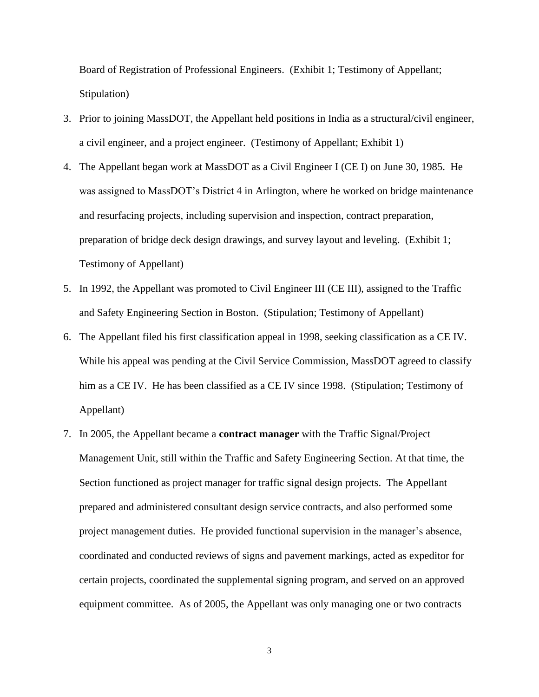Board of Registration of Professional Engineers. (Exhibit 1; Testimony of Appellant; Stipulation)

- 3. Prior to joining MassDOT, the Appellant held positions in India as a structural/civil engineer, a civil engineer, and a project engineer. (Testimony of Appellant; Exhibit 1)
- 4. The Appellant began work at MassDOT as a Civil Engineer I (CE I) on June 30, 1985. He was assigned to MassDOT's District 4 in Arlington, where he worked on bridge maintenance and resurfacing projects, including supervision and inspection, contract preparation, preparation of bridge deck design drawings, and survey layout and leveling. (Exhibit 1; Testimony of Appellant)
- 5. In 1992, the Appellant was promoted to Civil Engineer III (CE III), assigned to the Traffic and Safety Engineering Section in Boston. (Stipulation; Testimony of Appellant)
- 6. The Appellant filed his first classification appeal in 1998, seeking classification as a CE IV. While his appeal was pending at the Civil Service Commission, MassDOT agreed to classify him as a CE IV. He has been classified as a CE IV since 1998. (Stipulation; Testimony of Appellant)
- 7. In 2005, the Appellant became a **contract manager** with the Traffic Signal/Project Management Unit, still within the Traffic and Safety Engineering Section. At that time, the Section functioned as project manager for traffic signal design projects. The Appellant prepared and administered consultant design service contracts, and also performed some project management duties. He provided functional supervision in the manager's absence, coordinated and conducted reviews of signs and pavement markings, acted as expeditor for certain projects, coordinated the supplemental signing program, and served on an approved equipment committee. As of 2005, the Appellant was only managing one or two contracts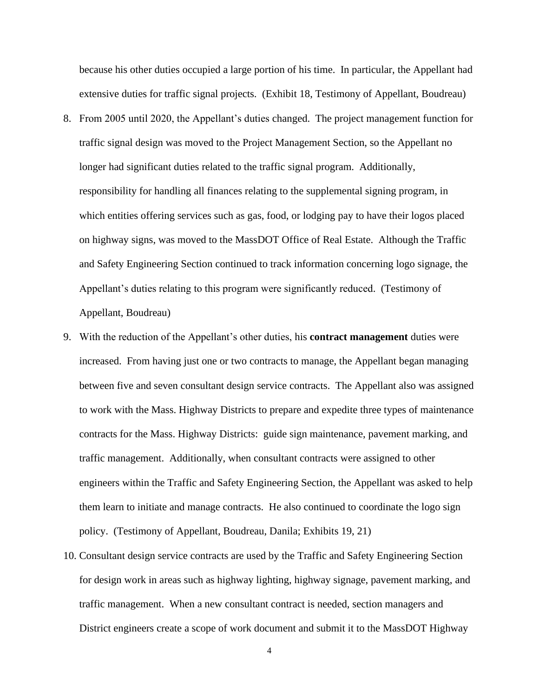because his other duties occupied a large portion of his time. In particular, the Appellant had extensive duties for traffic signal projects. (Exhibit 18, Testimony of Appellant, Boudreau)

- 8. From 2005 until 2020, the Appellant's duties changed. The project management function for traffic signal design was moved to the Project Management Section, so the Appellant no longer had significant duties related to the traffic signal program. Additionally, responsibility for handling all finances relating to the supplemental signing program, in which entities offering services such as gas, food, or lodging pay to have their logos placed on highway signs, was moved to the MassDOT Office of Real Estate. Although the Traffic and Safety Engineering Section continued to track information concerning logo signage, the Appellant's duties relating to this program were significantly reduced. (Testimony of Appellant, Boudreau)
- 9. With the reduction of the Appellant's other duties, his **contract management** duties were increased. From having just one or two contracts to manage, the Appellant began managing between five and seven consultant design service contracts. The Appellant also was assigned to work with the Mass. Highway Districts to prepare and expedite three types of maintenance contracts for the Mass. Highway Districts: guide sign maintenance, pavement marking, and traffic management. Additionally, when consultant contracts were assigned to other engineers within the Traffic and Safety Engineering Section, the Appellant was asked to help them learn to initiate and manage contracts. He also continued to coordinate the logo sign policy. (Testimony of Appellant, Boudreau, Danila; Exhibits 19, 21)
- 10. Consultant design service contracts are used by the Traffic and Safety Engineering Section for design work in areas such as highway lighting, highway signage, pavement marking, and traffic management. When a new consultant contract is needed, section managers and District engineers create a scope of work document and submit it to the MassDOT Highway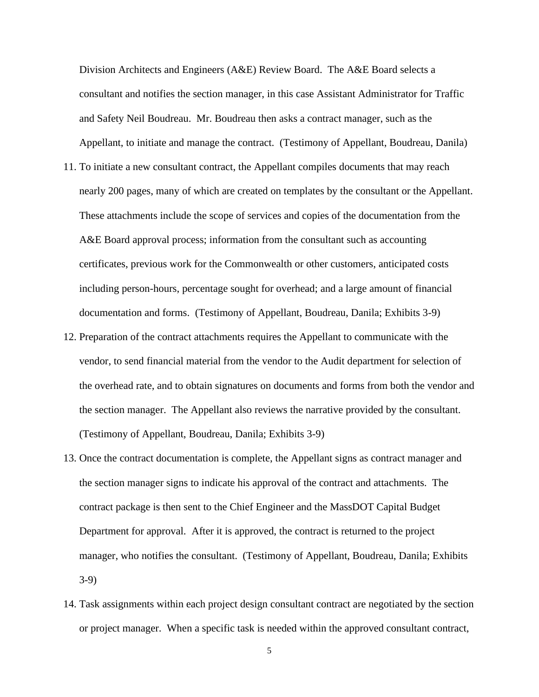Division Architects and Engineers (A&E) Review Board. The A&E Board selects a consultant and notifies the section manager, in this case Assistant Administrator for Traffic and Safety Neil Boudreau. Mr. Boudreau then asks a contract manager, such as the Appellant, to initiate and manage the contract. (Testimony of Appellant, Boudreau, Danila)

- 11. To initiate a new consultant contract, the Appellant compiles documents that may reach nearly 200 pages, many of which are created on templates by the consultant or the Appellant. These attachments include the scope of services and copies of the documentation from the A&E Board approval process; information from the consultant such as accounting certificates, previous work for the Commonwealth or other customers, anticipated costs including person-hours, percentage sought for overhead; and a large amount of financial documentation and forms. (Testimony of Appellant, Boudreau, Danila; Exhibits 3-9)
- 12. Preparation of the contract attachments requires the Appellant to communicate with the vendor, to send financial material from the vendor to the Audit department for selection of the overhead rate, and to obtain signatures on documents and forms from both the vendor and the section manager. The Appellant also reviews the narrative provided by the consultant. (Testimony of Appellant, Boudreau, Danila; Exhibits 3-9)
- 13. Once the contract documentation is complete, the Appellant signs as contract manager and the section manager signs to indicate his approval of the contract and attachments. The contract package is then sent to the Chief Engineer and the MassDOT Capital Budget Department for approval. After it is approved, the contract is returned to the project manager, who notifies the consultant. (Testimony of Appellant, Boudreau, Danila; Exhibits 3-9)
- 14. Task assignments within each project design consultant contract are negotiated by the section or project manager. When a specific task is needed within the approved consultant contract,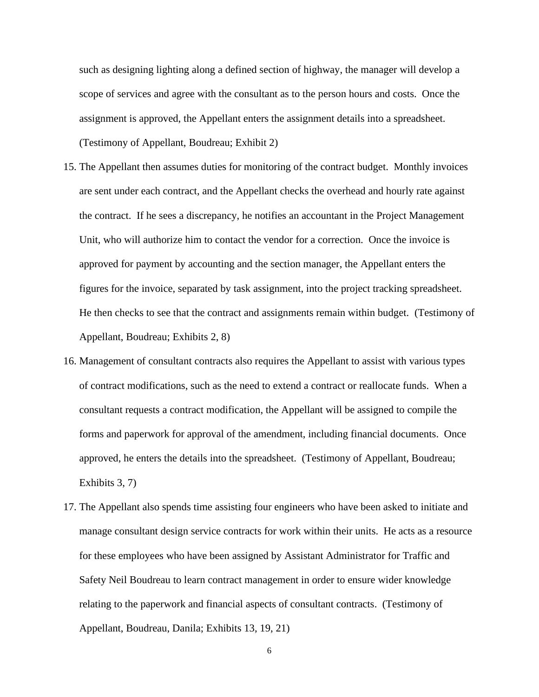such as designing lighting along a defined section of highway, the manager will develop a scope of services and agree with the consultant as to the person hours and costs. Once the assignment is approved, the Appellant enters the assignment details into a spreadsheet. (Testimony of Appellant, Boudreau; Exhibit 2)

- 15. The Appellant then assumes duties for monitoring of the contract budget. Monthly invoices are sent under each contract, and the Appellant checks the overhead and hourly rate against the contract. If he sees a discrepancy, he notifies an accountant in the Project Management Unit, who will authorize him to contact the vendor for a correction. Once the invoice is approved for payment by accounting and the section manager, the Appellant enters the figures for the invoice, separated by task assignment, into the project tracking spreadsheet. He then checks to see that the contract and assignments remain within budget. (Testimony of Appellant, Boudreau; Exhibits 2, 8)
- 16. Management of consultant contracts also requires the Appellant to assist with various types of contract modifications, such as the need to extend a contract or reallocate funds. When a consultant requests a contract modification, the Appellant will be assigned to compile the forms and paperwork for approval of the amendment, including financial documents. Once approved, he enters the details into the spreadsheet. (Testimony of Appellant, Boudreau; Exhibits 3, 7)
- 17. The Appellant also spends time assisting four engineers who have been asked to initiate and manage consultant design service contracts for work within their units. He acts as a resource for these employees who have been assigned by Assistant Administrator for Traffic and Safety Neil Boudreau to learn contract management in order to ensure wider knowledge relating to the paperwork and financial aspects of consultant contracts. (Testimony of Appellant, Boudreau, Danila; Exhibits 13, 19, 21)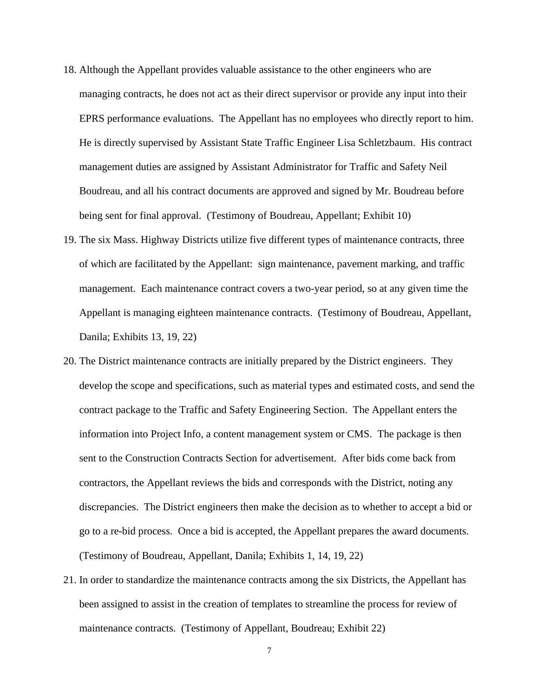- 18. Although the Appellant provides valuable assistance to the other engineers who are managing contracts, he does not act as their direct supervisor or provide any input into their EPRS performance evaluations. The Appellant has no employees who directly report to him. He is directly supervised by Assistant State Traffic Engineer Lisa Schletzbaum. His contract management duties are assigned by Assistant Administrator for Traffic and Safety Neil Boudreau, and all his contract documents are approved and signed by Mr. Boudreau before being sent for final approval. (Testimony of Boudreau, Appellant; Exhibit 10)
- 19. The six Mass. Highway Districts utilize five different types of maintenance contracts, three of which are facilitated by the Appellant: sign maintenance, pavement marking, and traffic management. Each maintenance contract covers a two-year period, so at any given time the Appellant is managing eighteen maintenance contracts. (Testimony of Boudreau, Appellant, Danila; Exhibits 13, 19, 22)
- 20. The District maintenance contracts are initially prepared by the District engineers. They develop the scope and specifications, such as material types and estimated costs, and send the contract package to the Traffic and Safety Engineering Section. The Appellant enters the information into Project Info, a content management system or CMS. The package is then sent to the Construction Contracts Section for advertisement. After bids come back from contractors, the Appellant reviews the bids and corresponds with the District, noting any discrepancies. The District engineers then make the decision as to whether to accept a bid or go to a re-bid process. Once a bid is accepted, the Appellant prepares the award documents. (Testimony of Boudreau, Appellant, Danila; Exhibits 1, 14, 19, 22)
- 21. In order to standardize the maintenance contracts among the six Districts, the Appellant has been assigned to assist in the creation of templates to streamline the process for review of maintenance contracts. (Testimony of Appellant, Boudreau; Exhibit 22)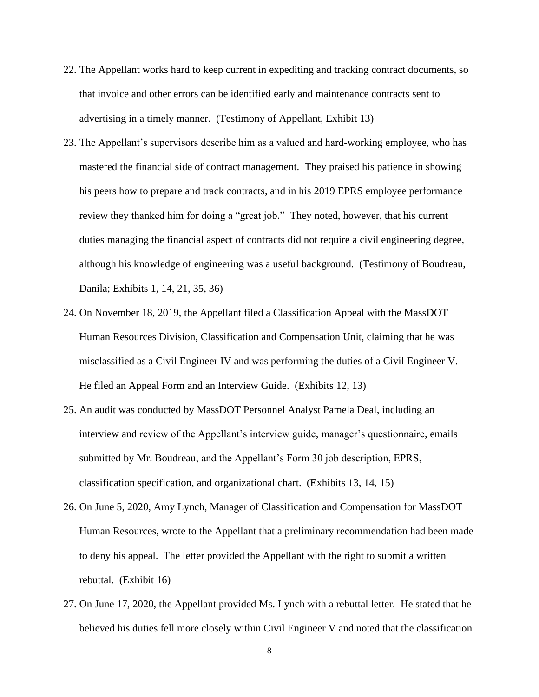- 22. The Appellant works hard to keep current in expediting and tracking contract documents, so that invoice and other errors can be identified early and maintenance contracts sent to advertising in a timely manner. (Testimony of Appellant, Exhibit 13)
- 23. The Appellant's supervisors describe him as a valued and hard-working employee, who has mastered the financial side of contract management. They praised his patience in showing his peers how to prepare and track contracts, and in his 2019 EPRS employee performance review they thanked him for doing a "great job." They noted, however, that his current duties managing the financial aspect of contracts did not require a civil engineering degree, although his knowledge of engineering was a useful background. (Testimony of Boudreau, Danila; Exhibits 1, 14, 21, 35, 36)
- 24. On November 18, 2019, the Appellant filed a Classification Appeal with the MassDOT Human Resources Division, Classification and Compensation Unit, claiming that he was misclassified as a Civil Engineer IV and was performing the duties of a Civil Engineer V. He filed an Appeal Form and an Interview Guide. (Exhibits 12, 13)
- 25. An audit was conducted by MassDOT Personnel Analyst Pamela Deal, including an interview and review of the Appellant's interview guide, manager's questionnaire, emails submitted by Mr. Boudreau, and the Appellant's Form 30 job description, EPRS, classification specification, and organizational chart. (Exhibits 13, 14, 15)
- 26. On June 5, 2020, Amy Lynch, Manager of Classification and Compensation for MassDOT Human Resources, wrote to the Appellant that a preliminary recommendation had been made to deny his appeal. The letter provided the Appellant with the right to submit a written rebuttal. (Exhibit 16)
- 27. On June 17, 2020, the Appellant provided Ms. Lynch with a rebuttal letter. He stated that he believed his duties fell more closely within Civil Engineer V and noted that the classification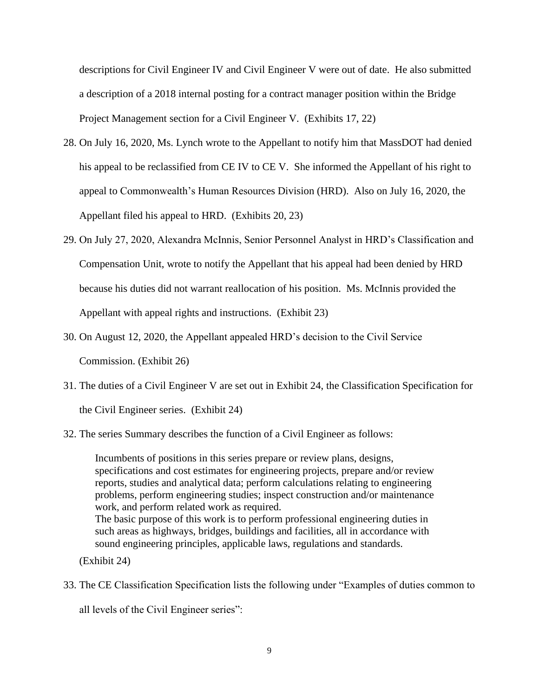descriptions for Civil Engineer IV and Civil Engineer V were out of date. He also submitted a description of a 2018 internal posting for a contract manager position within the Bridge Project Management section for a Civil Engineer V. (Exhibits 17, 22)

- 28. On July 16, 2020, Ms. Lynch wrote to the Appellant to notify him that MassDOT had denied his appeal to be reclassified from CE IV to CE V. She informed the Appellant of his right to appeal to Commonwealth's Human Resources Division (HRD). Also on July 16, 2020, the Appellant filed his appeal to HRD. (Exhibits 20, 23)
- 29. On July 27, 2020, Alexandra McInnis, Senior Personnel Analyst in HRD's Classification and Compensation Unit, wrote to notify the Appellant that his appeal had been denied by HRD because his duties did not warrant reallocation of his position. Ms. McInnis provided the Appellant with appeal rights and instructions. (Exhibit 23)
- 30. On August 12, 2020, the Appellant appealed HRD's decision to the Civil Service Commission. (Exhibit 26)
- 31. The duties of a Civil Engineer V are set out in Exhibit 24, the Classification Specification for the Civil Engineer series. (Exhibit 24)
- 32. The series Summary describes the function of a Civil Engineer as follows:

Incumbents of positions in this series prepare or review plans, designs, specifications and cost estimates for engineering projects, prepare and/or review reports, studies and analytical data; perform calculations relating to engineering problems, perform engineering studies; inspect construction and/or maintenance work, and perform related work as required. The basic purpose of this work is to perform professional engineering duties in such areas as highways, bridges, buildings and facilities, all in accordance with sound engineering principles, applicable laws, regulations and standards.

(Exhibit 24)

33. The CE Classification Specification lists the following under "Examples of duties common to

all levels of the Civil Engineer series":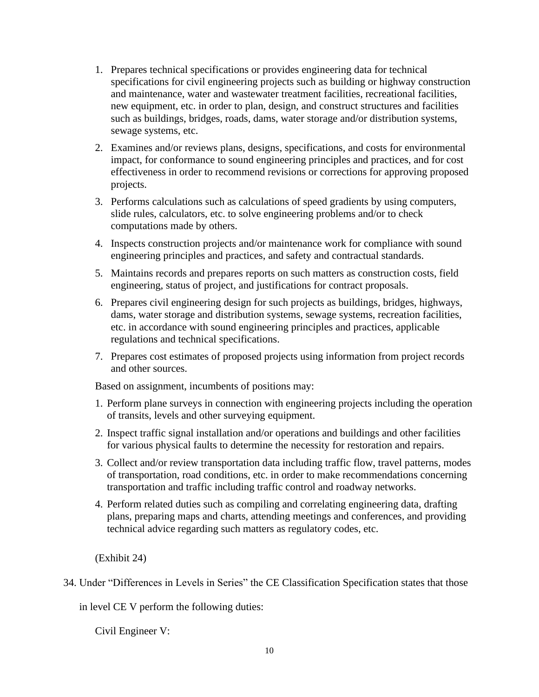- 1. Prepares technical specifications or provides engineering data for technical specifications for civil engineering projects such as building or highway construction and maintenance, water and wastewater treatment facilities, recreational facilities, new equipment, etc. in order to plan, design, and construct structures and facilities such as buildings, bridges, roads, dams, water storage and/or distribution systems, sewage systems, etc.
- 2. Examines and/or reviews plans, designs, specifications, and costs for environmental impact, for conformance to sound engineering principles and practices, and for cost effectiveness in order to recommend revisions or corrections for approving proposed projects.
- 3. Performs calculations such as calculations of speed gradients by using computers, slide rules, calculators, etc. to solve engineering problems and/or to check computations made by others.
- 4. Inspects construction projects and/or maintenance work for compliance with sound engineering principles and practices, and safety and contractual standards.
- 5. Maintains records and prepares reports on such matters as construction costs, field engineering, status of project, and justifications for contract proposals.
- 6. Prepares civil engineering design for such projects as buildings, bridges, highways, dams, water storage and distribution systems, sewage systems, recreation facilities, etc. in accordance with sound engineering principles and practices, applicable regulations and technical specifications.
- 7. Prepares cost estimates of proposed projects using information from project records and other sources.

Based on assignment, incumbents of positions may:

- 1. Perform plane surveys in connection with engineering projects including the operation of transits, levels and other surveying equipment.
- 2. Inspect traffic signal installation and/or operations and buildings and other facilities for various physical faults to determine the necessity for restoration and repairs.
- 3. Collect and/or review transportation data including traffic flow, travel patterns, modes of transportation, road conditions, etc. in order to make recommendations concerning transportation and traffic including traffic control and roadway networks.
- 4. Perform related duties such as compiling and correlating engineering data, drafting plans, preparing maps and charts, attending meetings and conferences, and providing technical advice regarding such matters as regulatory codes, etc.

(Exhibit 24)

34. Under "Differences in Levels in Series" the CE Classification Specification states that those

in level CE V perform the following duties:

Civil Engineer V: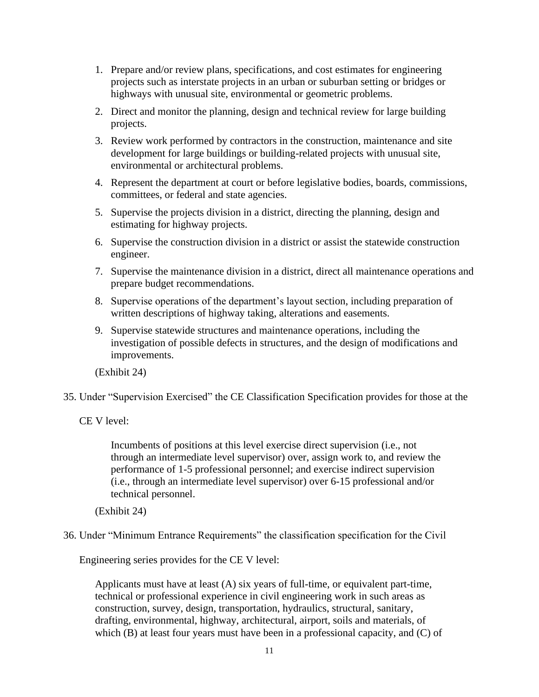- 1. Prepare and/or review plans, specifications, and cost estimates for engineering projects such as interstate projects in an urban or suburban setting or bridges or highways with unusual site, environmental or geometric problems.
- 2. Direct and monitor the planning, design and technical review for large building projects.
- 3. Review work performed by contractors in the construction, maintenance and site development for large buildings or building-related projects with unusual site, environmental or architectural problems.
- 4. Represent the department at court or before legislative bodies, boards, commissions, committees, or federal and state agencies.
- 5. Supervise the projects division in a district, directing the planning, design and estimating for highway projects.
- 6. Supervise the construction division in a district or assist the statewide construction engineer.
- 7. Supervise the maintenance division in a district, direct all maintenance operations and prepare budget recommendations.
- 8. Supervise operations of the department's layout section, including preparation of written descriptions of highway taking, alterations and easements.
- 9. Supervise statewide structures and maintenance operations, including the investigation of possible defects in structures, and the design of modifications and improvements.

(Exhibit 24)

35. Under "Supervision Exercised" the CE Classification Specification provides for those at the

CE V level:

Incumbents of positions at this level exercise direct supervision (i.e., not through an intermediate level supervisor) over, assign work to, and review the performance of 1-5 professional personnel; and exercise indirect supervision (i.e., through an intermediate level supervisor) over 6-15 professional and/or technical personnel.

(Exhibit 24)

36. Under "Minimum Entrance Requirements" the classification specification for the Civil

Engineering series provides for the CE V level:

Applicants must have at least (A) six years of full-time, or equivalent part-time, technical or professional experience in civil engineering work in such areas as construction, survey, design, transportation, hydraulics, structural, sanitary, drafting, environmental, highway, architectural, airport, soils and materials, of which (B) at least four years must have been in a professional capacity, and (C) of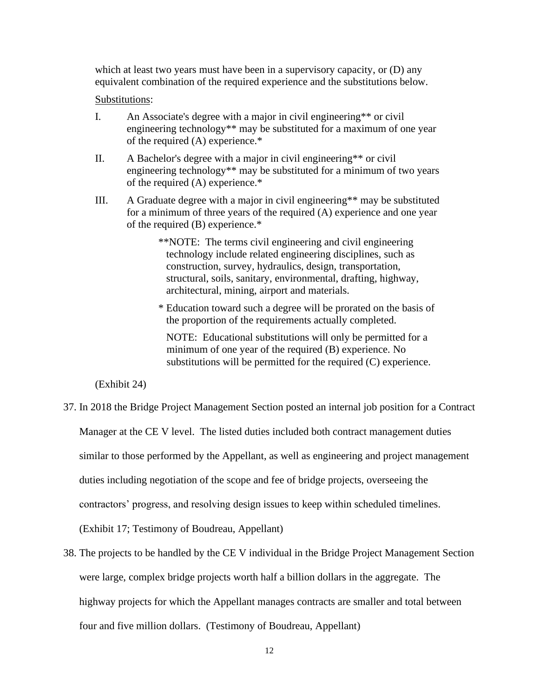which at least two years must have been in a supervisory capacity, or (D) any equivalent combination of the required experience and the substitutions below.

### Substitutions:

- I. An Associate's degree with a major in civil engineering\*\* or civil engineering technology\*\* may be substituted for a maximum of one year of the required (A) experience.\*
- II. A Bachelor's degree with a major in civil engineering\*\* or civil engineering technology\*\* may be substituted for a minimum of two years of the required (A) experience.\*
- III. A Graduate degree with a major in civil engineering\*\* may be substituted for a minimum of three years of the required (A) experience and one year of the required (B) experience.\*
	- \*\*NOTE: The terms civil engineering and civil engineering technology include related engineering disciplines, such as construction, survey, hydraulics, design, transportation, structural, soils, sanitary, environmental, drafting, highway, architectural, mining, airport and materials.
	- \* Education toward such a degree will be prorated on the basis of the proportion of the requirements actually completed.

 NOTE: Educational substitutions will only be permitted for a minimum of one year of the required (B) experience. No substitutions will be permitted for the required (C) experience.

(Exhibit 24)

- 37. In 2018 the Bridge Project Management Section posted an internal job position for a Contract Manager at the CE V level. The listed duties included both contract management duties similar to those performed by the Appellant, as well as engineering and project management duties including negotiation of the scope and fee of bridge projects, overseeing the contractors' progress, and resolving design issues to keep within scheduled timelines. (Exhibit 17; Testimony of Boudreau, Appellant)
- 38. The projects to be handled by the CE V individual in the Bridge Project Management Section were large, complex bridge projects worth half a billion dollars in the aggregate. The highway projects for which the Appellant manages contracts are smaller and total between four and five million dollars. (Testimony of Boudreau, Appellant)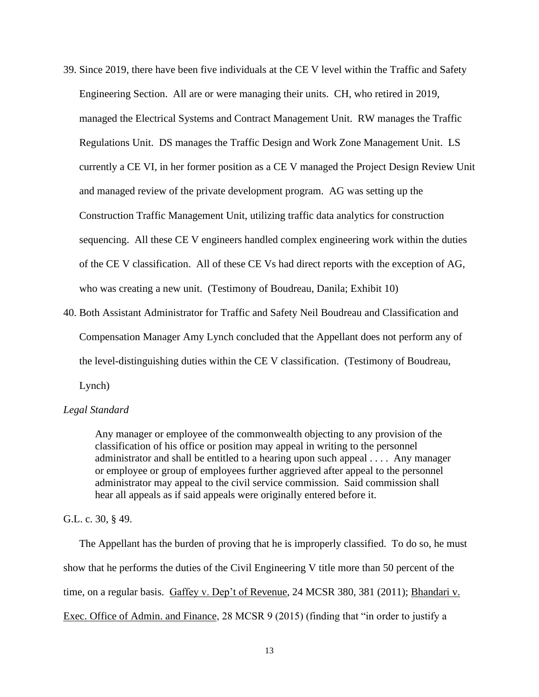- 39. Since 2019, there have been five individuals at the CE V level within the Traffic and Safety Engineering Section. All are or were managing their units. CH, who retired in 2019, managed the Electrical Systems and Contract Management Unit. RW manages the Traffic Regulations Unit. DS manages the Traffic Design and Work Zone Management Unit. LS currently a CE VI, in her former position as a CE V managed the Project Design Review Unit and managed review of the private development program. AG was setting up the Construction Traffic Management Unit, utilizing traffic data analytics for construction sequencing. All these CE V engineers handled complex engineering work within the duties of the CE V classification. All of these CE Vs had direct reports with the exception of AG, who was creating a new unit. (Testimony of Boudreau, Danila; Exhibit 10)
- 40. Both Assistant Administrator for Traffic and Safety Neil Boudreau and Classification and Compensation Manager Amy Lynch concluded that the Appellant does not perform any of the level-distinguishing duties within the CE V classification. (Testimony of Boudreau, Lynch)

## *Legal Standard*

Any manager or employee of the commonwealth objecting to any provision of the classification of his office or position may appeal in writing to the personnel administrator and shall be entitled to a hearing upon such appeal . . . . Any manager or employee or group of employees further aggrieved after appeal to the personnel administrator may appeal to the civil service commission. Said commission shall hear all appeals as if said appeals were originally entered before it.

G.L. c. 30, § 49.

The Appellant has the burden of proving that he is improperly classified. To do so, he must show that he performs the duties of the Civil Engineering V title more than 50 percent of the time, on a regular basis. Gaffey v. Dep't of Revenue, 24 MCSR 380, 381 (2011); Bhandari v. Exec. Office of Admin. and Finance, 28 MCSR 9 (2015) (finding that "in order to justify a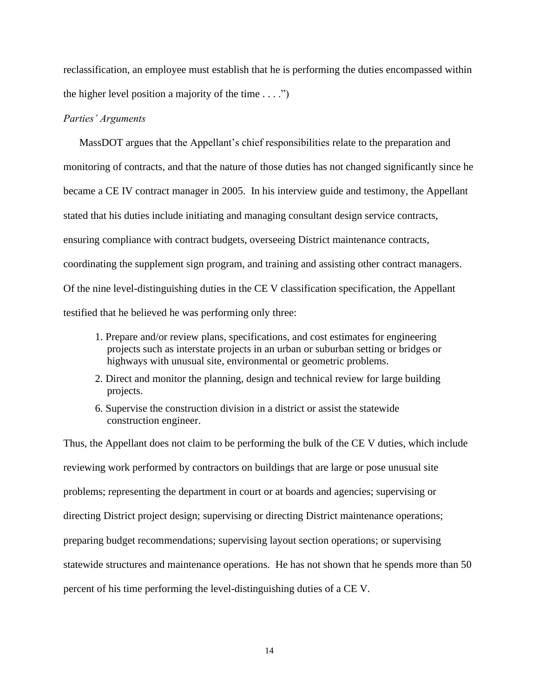reclassification, an employee must establish that he is performing the duties encompassed within the higher level position a majority of the time  $\dots$ .")

## *Parties' Arguments*

MassDOT argues that the Appellant's chief responsibilities relate to the preparation and monitoring of contracts, and that the nature of those duties has not changed significantly since he became a CE IV contract manager in 2005. In his interview guide and testimony, the Appellant stated that his duties include initiating and managing consultant design service contracts, ensuring compliance with contract budgets, overseeing District maintenance contracts, coordinating the supplement sign program, and training and assisting other contract managers. Of the nine level-distinguishing duties in the CE V classification specification, the Appellant testified that he believed he was performing only three:

- 1. Prepare and/or review plans, specifications, and cost estimates for engineering projects such as interstate projects in an urban or suburban setting or bridges or highways with unusual site, environmental or geometric problems.
- 2. Direct and monitor the planning, design and technical review for large building projects.
- 6. Supervise the construction division in a district or assist the statewide construction engineer.

Thus, the Appellant does not claim to be performing the bulk of the CE V duties, which include reviewing work performed by contractors on buildings that are large or pose unusual site problems; representing the department in court or at boards and agencies; supervising or directing District project design; supervising or directing District maintenance operations; preparing budget recommendations; supervising layout section operations; or supervising statewide structures and maintenance operations. He has not shown that he spends more than 50 percent of his time performing the level-distinguishing duties of a CE V.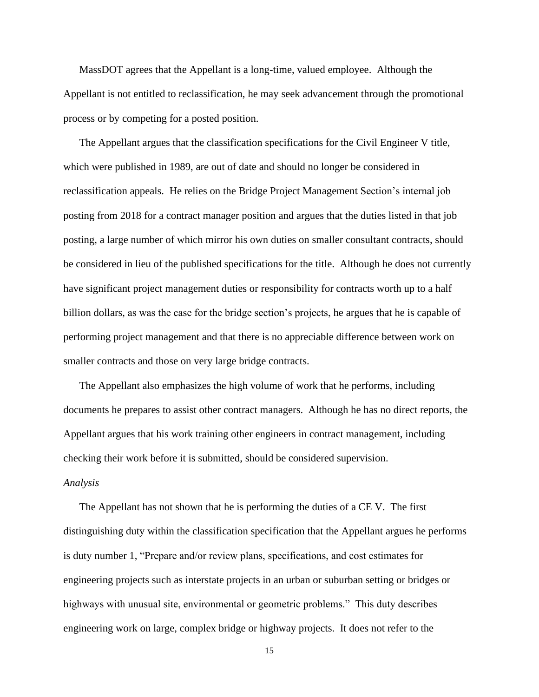MassDOT agrees that the Appellant is a long-time, valued employee. Although the Appellant is not entitled to reclassification, he may seek advancement through the promotional process or by competing for a posted position.

The Appellant argues that the classification specifications for the Civil Engineer V title, which were published in 1989, are out of date and should no longer be considered in reclassification appeals. He relies on the Bridge Project Management Section's internal job posting from 2018 for a contract manager position and argues that the duties listed in that job posting, a large number of which mirror his own duties on smaller consultant contracts, should be considered in lieu of the published specifications for the title. Although he does not currently have significant project management duties or responsibility for contracts worth up to a half billion dollars, as was the case for the bridge section's projects, he argues that he is capable of performing project management and that there is no appreciable difference between work on smaller contracts and those on very large bridge contracts.

The Appellant also emphasizes the high volume of work that he performs, including documents he prepares to assist other contract managers. Although he has no direct reports, the Appellant argues that his work training other engineers in contract management, including checking their work before it is submitted, should be considered supervision.

### *Analysis*

The Appellant has not shown that he is performing the duties of a CE V. The first distinguishing duty within the classification specification that the Appellant argues he performs is duty number 1, "Prepare and/or review plans, specifications, and cost estimates for engineering projects such as interstate projects in an urban or suburban setting or bridges or highways with unusual site, environmental or geometric problems." This duty describes engineering work on large, complex bridge or highway projects. It does not refer to the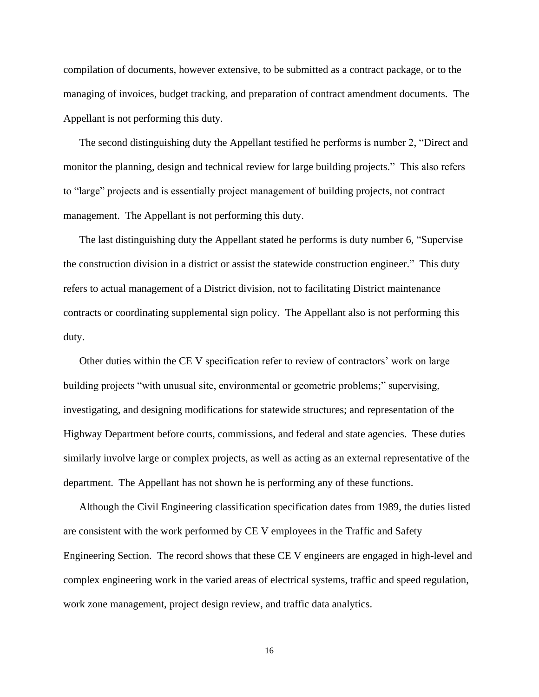compilation of documents, however extensive, to be submitted as a contract package, or to the managing of invoices, budget tracking, and preparation of contract amendment documents. The Appellant is not performing this duty.

The second distinguishing duty the Appellant testified he performs is number 2, "Direct and monitor the planning, design and technical review for large building projects." This also refers to "large" projects and is essentially project management of building projects, not contract management. The Appellant is not performing this duty.

The last distinguishing duty the Appellant stated he performs is duty number 6, "Supervise the construction division in a district or assist the statewide construction engineer." This duty refers to actual management of a District division, not to facilitating District maintenance contracts or coordinating supplemental sign policy. The Appellant also is not performing this duty.

Other duties within the CE V specification refer to review of contractors' work on large building projects "with unusual site, environmental or geometric problems;" supervising, investigating, and designing modifications for statewide structures; and representation of the Highway Department before courts, commissions, and federal and state agencies. These duties similarly involve large or complex projects, as well as acting as an external representative of the department. The Appellant has not shown he is performing any of these functions.

Although the Civil Engineering classification specification dates from 1989, the duties listed are consistent with the work performed by CE V employees in the Traffic and Safety Engineering Section. The record shows that these CE V engineers are engaged in high-level and complex engineering work in the varied areas of electrical systems, traffic and speed regulation, work zone management, project design review, and traffic data analytics.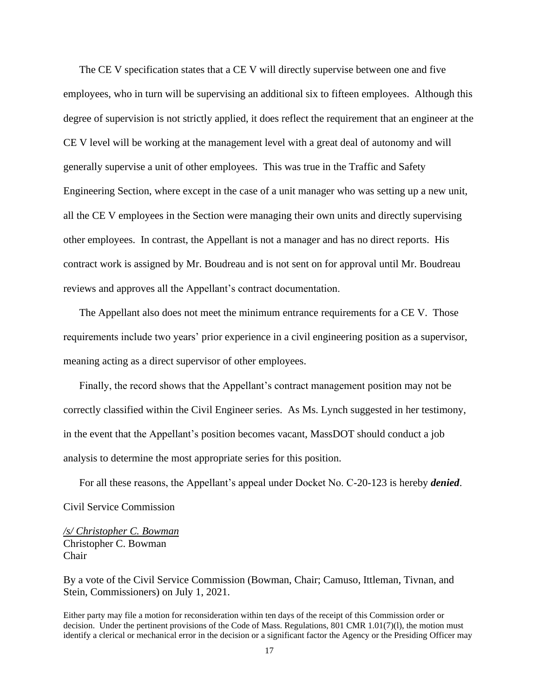The CE V specification states that a CE V will directly supervise between one and five employees, who in turn will be supervising an additional six to fifteen employees. Although this degree of supervision is not strictly applied, it does reflect the requirement that an engineer at the CE V level will be working at the management level with a great deal of autonomy and will generally supervise a unit of other employees. This was true in the Traffic and Safety Engineering Section, where except in the case of a unit manager who was setting up a new unit, all the CE V employees in the Section were managing their own units and directly supervising other employees. In contrast, the Appellant is not a manager and has no direct reports. His contract work is assigned by Mr. Boudreau and is not sent on for approval until Mr. Boudreau reviews and approves all the Appellant's contract documentation.

The Appellant also does not meet the minimum entrance requirements for a CE V. Those requirements include two years' prior experience in a civil engineering position as a supervisor, meaning acting as a direct supervisor of other employees.

Finally, the record shows that the Appellant's contract management position may not be correctly classified within the Civil Engineer series. As Ms. Lynch suggested in her testimony, in the event that the Appellant's position becomes vacant, MassDOT should conduct a job analysis to determine the most appropriate series for this position.

For all these reasons, the Appellant's appeal under Docket No. C-20-123 is hereby *denied*. Civil Service Commission

*/s/ Christopher C. Bowman*  Christopher C. Bowman Chair

By a vote of the Civil Service Commission (Bowman, Chair; Camuso, Ittleman, Tivnan, and Stein, Commissioners) on July 1, 2021.

Either party may file a motion for reconsideration within ten days of the receipt of this Commission order or decision. Under the pertinent provisions of the Code of Mass. Regulations, 801 CMR 1.01(7)(l), the motion must identify a clerical or mechanical error in the decision or a significant factor the Agency or the Presiding Officer may